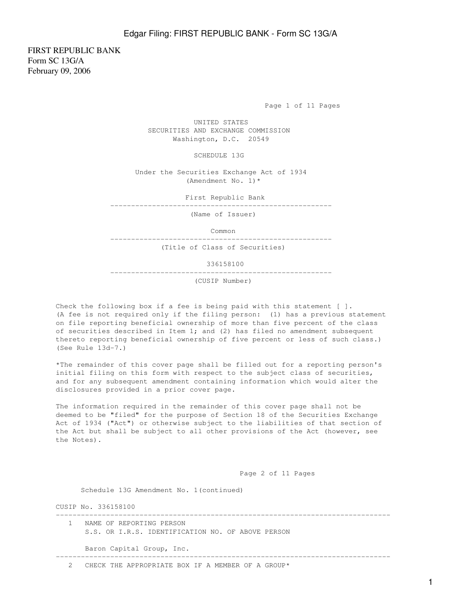FIRST REPUBLIC BANK Form SC 13G/A February 09, 2006

Page 1 of 11 Pages

 UNITED STATES SECURITIES AND EXCHANGE COMMISSION Washington, D.C. 20549

SCHEDULE 13G

 Under the Securities Exchange Act of 1934 (Amendment No. 1)\*

First Republic Bank

-----------------------------------------------------

(Name of Issuer)

Common

-----------------------------------------------------

(Title of Class of Securities)

336158100

-----------------------------------------------------

(CUSIP Number)

Check the following box if a fee is being paid with this statement [ ]. (A fee is not required only if the filing person: (1) has a previous statement on file reporting beneficial ownership of more than five percent of the class of securities described in Item 1; and (2) has filed no amendment subsequent thereto reporting beneficial ownership of five percent or less of such class.) (See Rule 13d-7.)

\*The remainder of this cover page shall be filled out for a reporting person's initial filing on this form with respect to the subject class of securities, and for any subsequent amendment containing information which would alter the disclosures provided in a prior cover page.

The information required in the remainder of this cover page shall not be deemed to be "filed" for the purpose of Section 18 of the Securities Exchange Act of 1934 ("Act") or otherwise subject to the liabilities of that section of the Act but shall be subject to all other provisions of the Act (however, see the Notes).

Page 2 of 11 Pages

Schedule 13G Amendment No. 1(continued)

CUSIP No. 336158100

| NAME OF REPORTING PERSON<br>S.S. OR I.R.S. IDENTIFICATION NO. OF ABOVE PERSON |
|-------------------------------------------------------------------------------|
| Baron Capital Group, Inc.                                                     |
| CHECK THE APPROPRIATE BOX IF A MEMBER OF A GROUP*                             |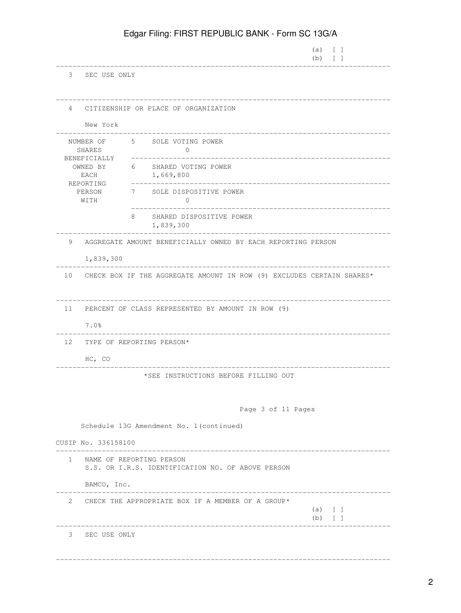|                                     |                                                                                 | $(a) \qquad \qquad$<br>$(b)$ $\lceil$ $\rceil$ |
|-------------------------------------|---------------------------------------------------------------------------------|------------------------------------------------|
|                                     | 3 SEC USE ONLY                                                                  |                                                |
| 4                                   | CITIZENSHIP OR PLACE OF ORGANIZATION                                            |                                                |
|                                     | New York                                                                        |                                                |
| NUMBER OF<br>SHARES<br>BENEFICIALLY | 5 SOLE VOTING POWER<br>$\Omega$                                                 |                                                |
| OWNED BY<br>EACH                    | 6 SHARED VOTING POWER<br>1,669,800                                              |                                                |
| REPORTING<br>PERSON<br>WITH         | 7<br>SOLE DISPOSITIVE POWER<br>0                                                |                                                |
|                                     | 8<br>SHARED DISPOSITIVE POWER<br>1,839,300                                      |                                                |
| 9                                   | AGGREGATE AMOUNT BENEFICIALLY OWNED BY EACH REPORTING PERSON                    |                                                |
|                                     | 1,839,300                                                                       |                                                |
|                                     | 10 CHECK BOX IF THE AGGREGATE AMOUNT IN ROW (9) EXCLUDES CERTAIN SHARES*        |                                                |
| 11                                  | PERCENT OF CLASS REPRESENTED BY AMOUNT IN ROW (9)                               |                                                |
| 7.0%                                |                                                                                 |                                                |
| 12                                  | TYPE OF REPORTING PERSON*                                                       |                                                |
|                                     | HC, CO                                                                          |                                                |
|                                     | *SEE INSTRUCTIONS BEFORE FILLING OUT                                            |                                                |
|                                     | Page 3 of 11 Pages                                                              |                                                |
|                                     | Schedule 13G Amendment No. 1 (continued)                                        |                                                |
| CUSIP No. 336158100                 |                                                                                 |                                                |
|                                     | 1 NAME OF REPORTING PERSON<br>S.S. OR I.R.S. IDENTIFICATION NO. OF ABOVE PERSON |                                                |
|                                     | BAMCO, Inc.                                                                     |                                                |
|                                     | 2 CHECK THE APPROPRIATE BOX IF A MEMBER OF A GROUP*                             | (a) [ ]<br>$(b)$ [ ]                           |
|                                     | 3 SEC USE ONLY                                                                  |                                                |
|                                     |                                                                                 |                                                |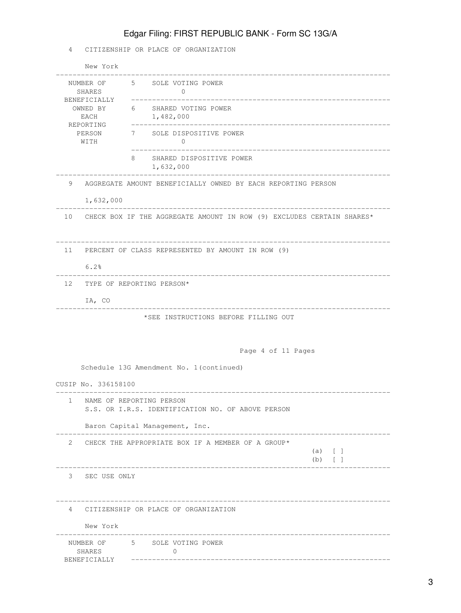### 4 CITIZENSHIP OR PLACE OF ORGANIZATION

|                                                                                        | New York                     |                                                                               |  |  |
|----------------------------------------------------------------------------------------|------------------------------|-------------------------------------------------------------------------------|--|--|
| NUMBER OF<br>SHARES<br>BENEFICIALLY<br>OWNED BY<br>EACH<br>REPORTING<br>PERSON<br>WITH |                              | 5 SOLE VOTING POWER<br>$\mathbf{0}$                                           |  |  |
|                                                                                        |                              | 6 SHARED VOTING POWER<br>1,482,000<br>________________________                |  |  |
|                                                                                        |                              | 7 SOLE DISPOSITIVE POWER<br>$\mathbf{0}$                                      |  |  |
|                                                                                        |                              | 8<br>SHARED DISPOSITIVE POWER<br>1,632,000                                    |  |  |
| 9                                                                                      |                              | AGGREGATE AMOUNT BENEFICIALLY OWNED BY EACH REPORTING PERSON                  |  |  |
|                                                                                        | 1,632,000                    |                                                                               |  |  |
|                                                                                        |                              | 10 CHECK BOX IF THE AGGREGATE AMOUNT IN ROW (9) EXCLUDES CERTAIN SHARES*      |  |  |
| 11                                                                                     |                              | PERCENT OF CLASS REPRESENTED BY AMOUNT IN ROW (9)                             |  |  |
|                                                                                        | 6.2%                         |                                                                               |  |  |
|                                                                                        | 12 TYPE OF REPORTING PERSON* |                                                                               |  |  |
|                                                                                        | IA, CO                       |                                                                               |  |  |
|                                                                                        |                              | *SEE INSTRUCTIONS BEFORE FILLING OUT                                          |  |  |
|                                                                                        |                              | Page 4 of 11 Pages                                                            |  |  |
|                                                                                        |                              | Schedule 13G Amendment No. 1 (continued)                                      |  |  |
|                                                                                        | CUSIP No. 336158100          |                                                                               |  |  |
| $\mathbf{1}$                                                                           |                              | NAME OF REPORTING PERSON<br>S.S. OR I.R.S. IDENTIFICATION NO. OF ABOVE PERSON |  |  |
|                                                                                        |                              | Baron Capital Management, Inc.                                                |  |  |
| 2                                                                                      |                              | CHECK THE APPROPRIATE BOX IF A MEMBER OF A GROUP*<br>$(a)$ [ ]<br>$(b)$ [ ]   |  |  |
|                                                                                        | 3 SEC USE ONLY               |                                                                               |  |  |
|                                                                                        |                              | 4 CITIZENSHIP OR PLACE OF ORGANIZATION                                        |  |  |
|                                                                                        | New York                     |                                                                               |  |  |
|                                                                                        | SHARES<br>BENEFICIALLY       | NUMBER OF 5 SOLE VOTING POWER<br>0                                            |  |  |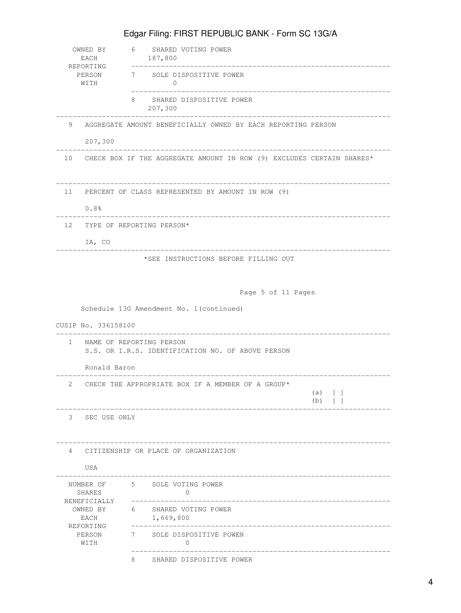| EACH                                | OWNED BY 6 SHARED VOTING POWER<br>187,800                                       |  |  |  |  |  |  |
|-------------------------------------|---------------------------------------------------------------------------------|--|--|--|--|--|--|
| REPORTING<br>PERSON<br>WITH         | 7 SOLE DISPOSITIVE POWER<br>$\Omega$                                            |  |  |  |  |  |  |
|                                     | SHARED DISPOSITIVE POWER<br>8<br>207,300                                        |  |  |  |  |  |  |
| 9<br>207,300                        | AGGREGATE AMOUNT BENEFICIALLY OWNED BY EACH REPORTING PERSON                    |  |  |  |  |  |  |
|                                     | 10 CHECK BOX IF THE AGGREGATE AMOUNT IN ROW (9) EXCLUDES CERTAIN SHARES*        |  |  |  |  |  |  |
| 11<br>0.8%                          | PERCENT OF CLASS REPRESENTED BY AMOUNT IN ROW (9)                               |  |  |  |  |  |  |
| 12 TYPE OF REPORTING PERSON*        |                                                                                 |  |  |  |  |  |  |
| IA, CO                              |                                                                                 |  |  |  |  |  |  |
|                                     | *SEE INSTRUCTIONS BEFORE FILLING OUT<br>Page 5 of 11 Pages                      |  |  |  |  |  |  |
| CUSIP No. 336158100                 | Schedule 13G Amendment No. 1 (continued)                                        |  |  |  |  |  |  |
|                                     | 1 NAME OF REPORTING PERSON<br>S.S. OR I.R.S. IDENTIFICATION NO. OF ABOVE PERSON |  |  |  |  |  |  |
| Ronald Baron                        |                                                                                 |  |  |  |  |  |  |
|                                     | 2 CHECK THE APPROPRIATE BOX IF A MEMBER OF A GROUP*<br>$(a)$ [ ]<br>(b)         |  |  |  |  |  |  |
| 3<br>SEC USE ONLY                   |                                                                                 |  |  |  |  |  |  |
| $\overline{4}$<br>USA               | CITIZENSHIP OR PLACE OF ORGANIZATION                                            |  |  |  |  |  |  |
| NUMBER OF<br>SHARES<br>BENEFICIALLY | 5 SOLE VOTING POWER<br>$\circ$<br>______________________                        |  |  |  |  |  |  |
| OWNED BY<br>EACH                    | 6 SHARED VOTING POWER<br>1,669,800                                              |  |  |  |  |  |  |
| REPORTING<br>PERSON<br>WITH         | 7 SOLE DISPOSITIVE POWER<br>$\Omega$                                            |  |  |  |  |  |  |
|                                     | 8 SHARED DISPOSITIVE POWER                                                      |  |  |  |  |  |  |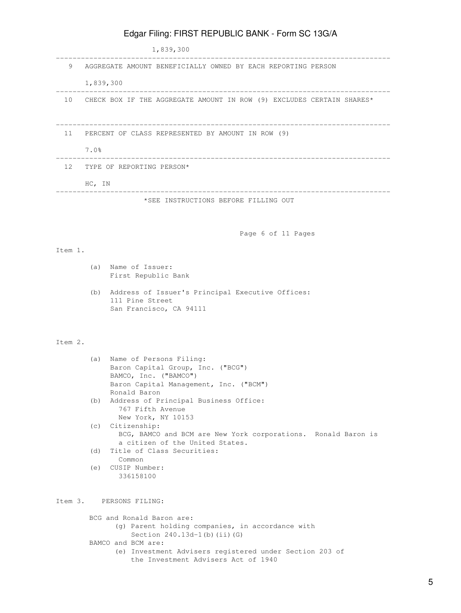|         |                              | 1,839,300                                                                                                            |  |  |  |
|---------|------------------------------|----------------------------------------------------------------------------------------------------------------------|--|--|--|
| 9       |                              | AGGREGATE AMOUNT BENEFICIALLY OWNED BY EACH REPORTING PERSON                                                         |  |  |  |
|         |                              |                                                                                                                      |  |  |  |
|         | 1,839,300                    |                                                                                                                      |  |  |  |
|         |                              | 10 CHECK BOX IF THE AGGREGATE AMOUNT IN ROW (9) EXCLUDES CERTAIN SHARES*                                             |  |  |  |
|         |                              | 11 PERCENT OF CLASS REPRESENTED BY AMOUNT IN ROW (9)                                                                 |  |  |  |
|         | 7.0%                         |                                                                                                                      |  |  |  |
|         | 12 TYPE OF REPORTING PERSON* |                                                                                                                      |  |  |  |
|         | HC, IN                       |                                                                                                                      |  |  |  |
|         |                              | *SEE INSTRUCTIONS BEFORE FILLING OUT                                                                                 |  |  |  |
|         |                              |                                                                                                                      |  |  |  |
|         |                              | Page 6 of 11 Pages                                                                                                   |  |  |  |
| Item 1. |                              |                                                                                                                      |  |  |  |
|         |                              | (a) Name of Issuer:                                                                                                  |  |  |  |
|         |                              | First Republic Bank                                                                                                  |  |  |  |
|         | (b)                          | Address of Issuer's Principal Executive Offices:<br>111 Pine Street<br>San Francisco, CA 94111                       |  |  |  |
| Item 2. |                              |                                                                                                                      |  |  |  |
|         |                              | (a) Name of Persons Filing:                                                                                          |  |  |  |
|         |                              | Baron Capital Group, Inc. ("BCG")<br>BAMCO, Inc. ("BAMCO")<br>Baron Capital Management, Inc. ("BCM")<br>Ronald Baron |  |  |  |
|         | (b)                          | Address of Principal Business Office:<br>767 Fifth Avenue<br>New York, NY 10153                                      |  |  |  |
|         |                              | (c) Citizenship:<br>BCG, BAMCO and BCM are New York corporations. Ronald Baron is<br>a citizen of the United States. |  |  |  |
|         | (d)                          | Title of Class Securities:<br>Common                                                                                 |  |  |  |
|         | (e)                          | CUSIP Number:<br>336158100                                                                                           |  |  |  |
|         |                              | Item 3. PERSONS FILING:                                                                                              |  |  |  |

 BCG and Ronald Baron are: (g) Parent holding companies, in accordance with Section 240.13d-1(b)(ii)(G) BAMCO and BCM are: (e) Investment Advisers registered under Section 203 of

the Investment Advisers Act of 1940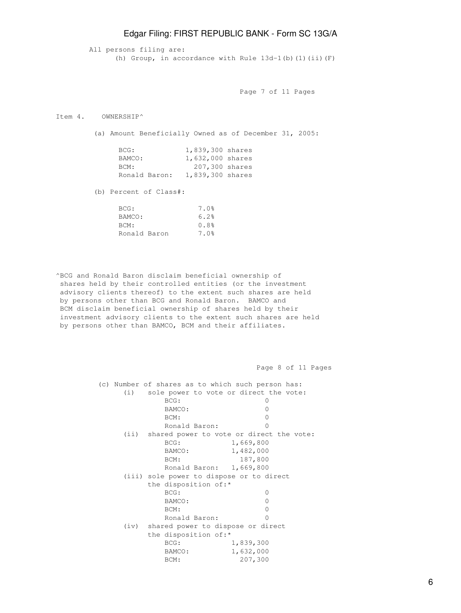All persons filing are: (h) Group, in accordance with Rule  $13d-1$ (b)(1)(ii)(F)

Page 7 of 11 Pages

Item 4. OWNERSHIP^

(a) Amount Beneficially Owned as of December 31, 2005:

| BCG:          | 1,839,300 shares |  |
|---------------|------------------|--|
| BAMCO:        | 1,632,000 shares |  |
| BCM:          | 207,300 shares   |  |
| Ronald Baron: | 1,839,300 shares |  |

(b) Percent of Class#:

| 7.0% |
|------|
| 6.2% |
| 0.8% |
| 7.0% |
|      |

^BCG and Ronald Baron disclaim beneficial ownership of shares held by their controlled entities (or the investment advisory clients thereof) to the extent such shares are held by persons other than BCG and Ronald Baron. BAMCO and BCM disclaim beneficial ownership of shares held by their investment advisory clients to the extent such shares are held by persons other than BAMCO, BCM and their affiliates.

Page 8 of 11 Pages

 (c) Number of shares as to which such person has: (i) sole power to vote or direct the vote: BCG: 0 BAMCO: 0 BCM: 0 Ronald Baron: 0 (ii) shared power to vote or direct the vote: BCG: 1,669,800 BAMCO: 1,482,000 BCM: 187,800 Ronald Baron: 1,669,800 (iii) sole power to dispose or to direct the disposition of:\* BCG: 0 BAMCO: 0 BCM: 0 Ronald Baron: 0 (iv) shared power to dispose or direct the disposition of:\* BCG: 1,839,300 BAMCO: 1,632,000 BCM: 207,300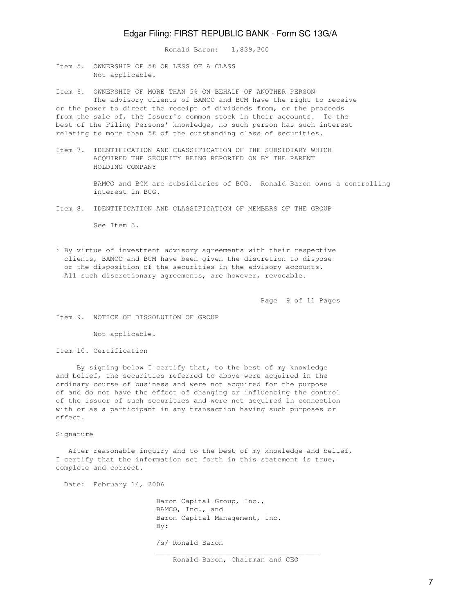Ronald Baron: 1,839,300

Item 5. OWNERSHIP OF 5% OR LESS OF A CLASS Not applicable.

Item 6. OWNERSHIP OF MORE THAN 5% ON BEHALF OF ANOTHER PERSON The advisory clients of BAMCO and BCM have the right to receive or the power to direct the receipt of dividends from, or the proceeds from the sale of, the Issuer's common stock in their accounts. To the best of the Filing Persons' knowledge, no such person has such interest relating to more than 5% of the outstanding class of securities.

Item 7. IDENTIFICATION AND CLASSIFICATION OF THE SUBSIDIARY WHICH ACQUIRED THE SECURITY BEING REPORTED ON BY THE PARENT HOLDING COMPANY

> BAMCO and BCM are subsidiaries of BCG. Ronald Baron owns a controlling interest in BCG.

Item 8. IDENTIFICATION AND CLASSIFICATION OF MEMBERS OF THE GROUP

See Item 3.

\* By virtue of investment advisory agreements with their respective clients, BAMCO and BCM have been given the discretion to dispose or the disposition of the securities in the advisory accounts. All such discretionary agreements, are however, revocable.

Page 9 of 11 Pages

Item 9. NOTICE OF DISSOLUTION OF GROUP

Not applicable.

Item 10. Certification

 By signing below I certify that, to the best of my knowledge and belief, the securities referred to above were acquired in the ordinary course of business and were not acquired for the purpose of and do not have the effect of changing or influencing the control of the issuer of such securities and were not acquired in connection with or as a participant in any transaction having such purposes or effect.

#### Signature

 After reasonable inquiry and to the best of my knowledge and belief, I certify that the information set forth in this statement is true, complete and correct.

 $\mathcal{L}_\mathcal{L}$  , which is a set of the set of the set of the set of the set of the set of the set of the set of the set of the set of the set of the set of the set of the set of the set of the set of the set of the set of

Date: February 14, 2006

 Baron Capital Group, Inc., BAMCO, Inc., and Baron Capital Management, Inc. By: /s/ Ronald Baron

Ronald Baron, Chairman and CEO